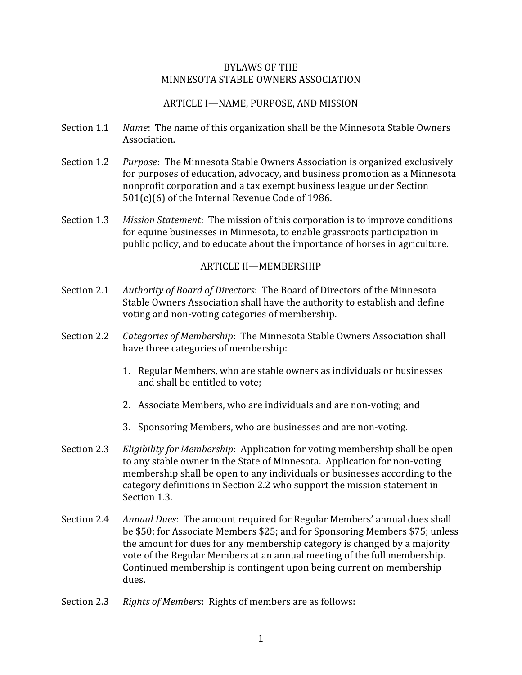### BYLAWS OF THE MINNESOTA STABLE OWNERS ASSOCIATION

## ARTICLE I—NAME, PURPOSE, AND MISSION

- Section 1.1 *Name*: The name of this organization shall be the Minnesota Stable Owners Association.
- Section 1.2 *Purpose*: The Minnesota Stable Owners Association is organized exclusively for purposes of education, advocacy, and business promotion as a Minnesota nonprofit corporation and a tax exempt business league under Section 501(c)(6) of the Internal Revenue Code of 1986.
- Section 1.3 *Mission Statement*: The mission of this corporation is to improve conditions for equine businesses in Minnesota, to enable grassroots participation in public policy, and to educate about the importance of horses in agriculture.

#### ARTICLE II—MEMBERSHIP

- Section 2.1 *Authority of Board of Directors*: The Board of Directors of the Minnesota Stable Owners Association shall have the authority to establish and define voting and non‐voting categories of membership.
- Section 2.2 *Categories of Membership*: The Minnesota Stable Owners Association shall have three categories of membership:
	- 1. Regular Members, who are stable owners as individuals or businesses and shall be entitled to vote;
	- 2. Associate Members, who are individuals and are non‐voting; and
	- 3. Sponsoring Members, who are businesses and are non‐voting.
- Section 2.3 *Eligibility for Membership*: Application for voting membership shall be open to any stable owner in the State of Minnesota. Application for non‐voting membership shall be open to any individuals or businesses according to the category definitions in Section 2.2 who support the mission statement in Section 1.3.
- Section 2.4 *Annual Dues*: The amount required for Regular Members' annual dues shall be \$50; for Associate Members \$25; and for Sponsoring Members \$75; unless the amount for dues for any membership category is changed by a majority vote of the Regular Members at an annual meeting of the full membership. Continued membership is contingent upon being current on membership dues.
- Section 2.3 *Rights of Members*: Rights of members are as follows: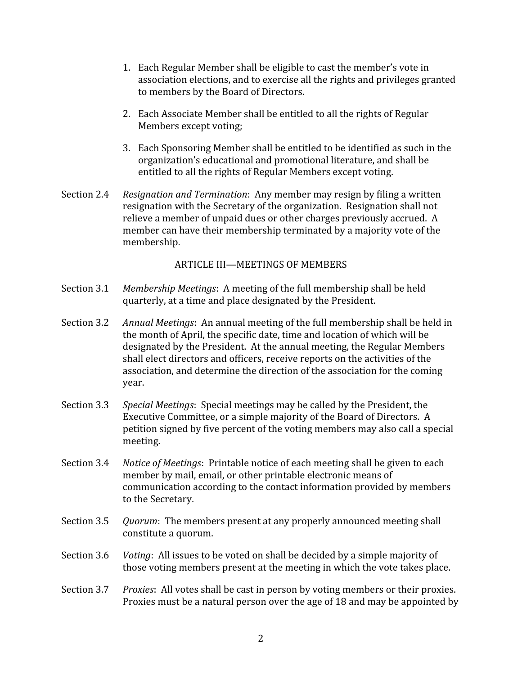- 1. Each Regular Member shall be eligible to cast the member's vote in association elections, and to exercise all the rights and privileges granted to members by the Board of Directors.
- 2. Each Associate Member shall be entitled to all the rights of Regular Members except voting;
- 3. Each Sponsoring Member shall be entitled to be identified as such in the organization's educational and promotional literature, and shall be entitled to all the rights of Regular Members except voting.
- Section 2.4 *Resignation and Termination*: Any member may resign by filing a written resignation with the Secretary of the organization. Resignation shall not relieve a member of unpaid dues or other charges previously accrued. A member can have their membership terminated by a majority vote of the membership.

### ARTICLE III—MEETINGS OF MEMBERS

- Section 3.1 *Membership Meetings*: A meeting of the full membership shall be held quarterly, at a time and place designated by the President.
- Section 3.2 *Annual Meetings*: An annual meeting of the full membership shall be held in the month of April, the specific date, time and location of which will be designated by the President. At the annual meeting, the Regular Members shall elect directors and officers, receive reports on the activities of the association, and determine the direction of the association for the coming year.
- Section 3.3 *Special Meetings*: Special meetings may be called by the President, the Executive Committee, or a simple majority of the Board of Directors. A petition signed by five percent of the voting members may also call a special meeting.
- Section 3.4 *Notice of Meetings*: Printable notice of each meeting shall be given to each member by mail, email, or other printable electronic means of communication according to the contact information provided by members to the Secretary.
- Section 3.5 *Quorum*: The members present at any properly announced meeting shall constitute a quorum.
- Section 3.6 *Voting*: All issues to be voted on shall be decided by a simple majority of those voting members present at the meeting in which the vote takes place.
- Section 3.7 *Proxies*: All votes shall be cast in person by voting members or their proxies. Proxies must be a natural person over the age of 18 and may be appointed by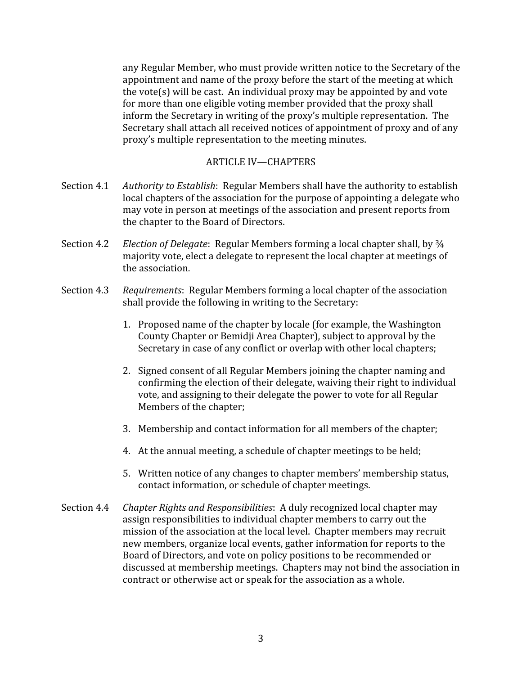any Regular Member, who must provide written notice to the Secretary of the appointment and name of the proxy before the start of the meeting at which the vote(s) will be cast. An individual proxy may be appointed by and vote for more than one eligible voting member provided that the proxy shall inform the Secretary in writing of the proxy's multiple representation. The Secretary shall attach all received notices of appointment of proxy and of any proxy's multiple representation to the meeting minutes.

### ARTICLE IV—CHAPTERS

- Section 4.1 *Authority to Establish*: Regular Members shall have the authority to establish local chapters of the association for the purpose of appointing a delegate who may vote in person at meetings of the association and present reports from the chapter to the Board of Directors.
- Section 4.2 *Election of Delegate*: Regular Members forming a local chapter shall, by ¾ majority vote, elect a delegate to represent the local chapter at meetings of the association.
- Section 4.3 *Requirements*: Regular Members forming a local chapter of the association shall provide the following in writing to the Secretary:
	- 1. Proposed name of the chapter by locale (for example, the Washington County Chapter or Bemidji Area Chapter), subject to approval by the Secretary in case of any conflict or overlap with other local chapters;
	- 2. Signed consent of all Regular Members joining the chapter naming and confirming the election of their delegate, waiving their right to individual vote, and assigning to their delegate the power to vote for all Regular Members of the chapter;
	- 3. Membership and contact information for all members of the chapter;
	- 4. At the annual meeting, a schedule of chapter meetings to be held;
	- 5. Written notice of any changes to chapter members' membership status, contact information, or schedule of chapter meetings.
- Section 4.4 *Chapter Rights and Responsibilities*: A duly recognized local chapter may assign responsibilities to individual chapter members to carry out the mission of the association at the local level. Chapter members may recruit new members, organize local events, gather information for reports to the Board of Directors, and vote on policy positions to be recommended or discussed at membership meetings. Chapters may not bind the association in contract or otherwise act or speak for the association as a whole.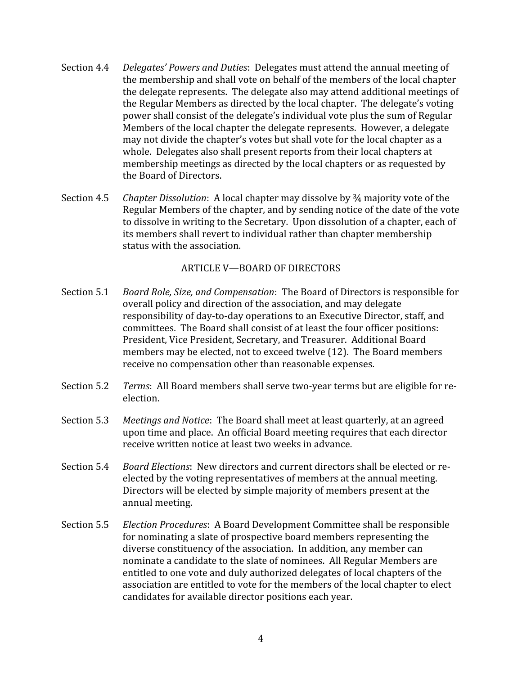- Section 4.4 *Delegates' Powers and Duties*: Delegates must attend the annual meeting of the membership and shall vote on behalf of the members of the local chapter the delegate represents. The delegate also may attend additional meetings of the Regular Members as directed by the local chapter. The delegate's voting power shall consist of the delegate's individual vote plus the sum of Regular Members of the local chapter the delegate represents. However, a delegate may not divide the chapter's votes but shall vote for the local chapter as a whole. Delegates also shall present reports from their local chapters at membership meetings as directed by the local chapters or as requested by the Board of Directors.
- Section 4.5 *Chapter Dissolution*: A local chapter may dissolve by ¾ majority vote of the Regular Members of the chapter, and by sending notice of the date of the vote to dissolve in writing to the Secretary. Upon dissolution of a chapter, each of its members shall revert to individual rather than chapter membership status with the association.

## ARTICLE V—BOARD OF DIRECTORS

- Section 5.1 *Board Role, Size, and Compensation*: The Board of Directors is responsible for overall policy and direction of the association, and may delegate responsibility of day-to-day operations to an Executive Director, staff, and committees. The Board shall consist of at least the four officer positions: President, Vice President, Secretary, and Treasurer. Additional Board members may be elected, not to exceed twelve (12). The Board members receive no compensation other than reasonable expenses.
- Section 5.2 *Terms*: All Board members shall serve two-year terms but are eligible for reelection.
- Section 5.3 *Meetings and Notice*: The Board shall meet at least quarterly, at an agreed upon time and place. An official Board meeting requires that each director receive written notice at least two weeks in advance.
- Section 5.4 *Board Elections*: New directors and current directors shall be elected or re‐ elected by the voting representatives of members at the annual meeting. Directors will be elected by simple majority of members present at the annual meeting.
- Section 5.5 *Election Procedures*: A Board Development Committee shall be responsible for nominating a slate of prospective board members representing the diverse constituency of the association. In addition, any member can nominate a candidate to the slate of nominees. All Regular Members are entitled to one vote and duly authorized delegates of local chapters of the association are entitled to vote for the members of the local chapter to elect candidates for available director positions each year.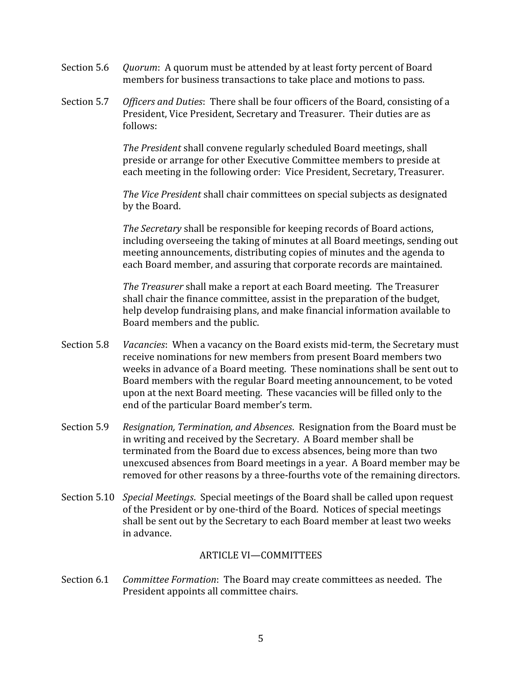- Section 5.6 *Quorum*: A quorum must be attended by at least forty percent of Board members for business transactions to take place and motions to pass.
- Section 5.7 *Officers and Duties*: There shall be four officers of the Board, consisting of a President, Vice President, Secretary and Treasurer. Their duties are as follows:

*The President* shall convene regularly scheduled Board meetings, shall preside or arrange for other Executive Committee members to preside at each meeting in the following order: Vice President, Secretary, Treasurer.

*The Vice President* shall chair committees on special subjects as designated by the Board.

*The Secretary* shall be responsible for keeping records of Board actions, including overseeing the taking of minutes at all Board meetings, sending out meeting announcements, distributing copies of minutes and the agenda to each Board member, and assuring that corporate records are maintained.

*The Treasurer* shall make a report at each Board meeting. The Treasurer shall chair the finance committee, assist in the preparation of the budget, help develop fundraising plans, and make financial information available to Board members and the public.

- Section 5.8 *Vacancies*: When a vacancy on the Board exists mid-term, the Secretary must receive nominations for new members from present Board members two weeks in advance of a Board meeting. These nominations shall be sent out to Board members with the regular Board meeting announcement, to be voted upon at the next Board meeting. These vacancies will be filled only to the end of the particular Board member's term.
- Section 5.9 *Resignation, Termination, and Absences*. Resignation from the Board must be in writing and received by the Secretary. A Board member shall be terminated from the Board due to excess absences, being more than two unexcused absences from Board meetings in a year. A Board member may be removed for other reasons by a three-fourths vote of the remaining directors.
- Section 5.10 *Special Meetings*. Special meetings of the Board shall be called upon request of the President or by one‐third of the Board. Notices of special meetings shall be sent out by the Secretary to each Board member at least two weeks in advance.

## ARTICLE VI—COMMITTEES

Section 6.1 *Committee Formation*: The Board may create committees as needed. The President appoints all committee chairs.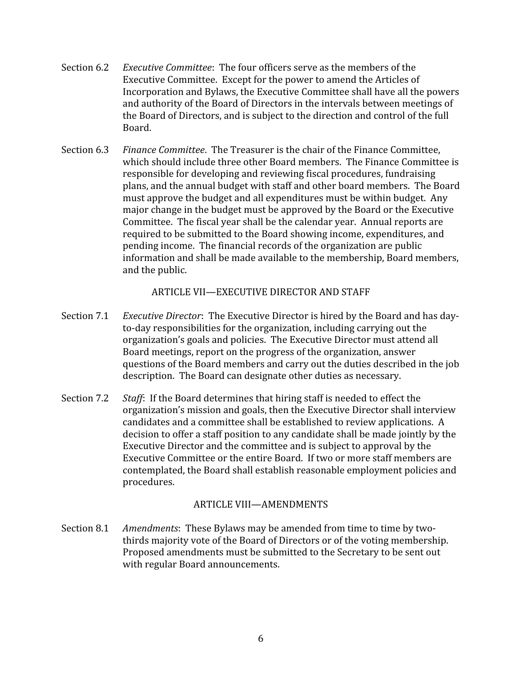- Section 6.2 *Executive Committee*: The four officers serve as the members of the Executive Committee. Except for the power to amend the Articles of Incorporation and Bylaws, the Executive Committee shall have all the powers and authority of the Board of Directors in the intervals between meetings of the Board of Directors, and is subject to the direction and control of the full Board.
- Section 6.3 *Finance Committee*. The Treasurer is the chair of the Finance Committee, which should include three other Board members. The Finance Committee is responsible for developing and reviewing fiscal procedures, fundraising plans, and the annual budget with staff and other board members. The Board must approve the budget and all expenditures must be within budget. Any major change in the budget must be approved by the Board or the Executive Committee. The fiscal year shall be the calendar year. Annual reports are required to be submitted to the Board showing income, expenditures, and pending income. The financial records of the organization are public information and shall be made available to the membership, Board members, and the public.

ARTICLE VII—EXECUTIVE DIRECTOR AND STAFF

- Section 7.1 *Executive Director*: The Executive Director is hired by the Board and has day‐ to‐day responsibilities for the organization, including carrying out the organization's goals and policies. The Executive Director must attend all Board meetings, report on the progress of the organization, answer questions of the Board members and carry out the duties described in the job description. The Board can designate other duties as necessary.
- Section 7.2 *Staff*: If the Board determines that hiring staff is needed to effect the organization's mission and goals, then the Executive Director shall interview candidates and a committee shall be established to review applications. A decision to offer a staff position to any candidate shall be made jointly by the Executive Director and the committee and is subject to approval by the Executive Committee or the entire Board. If two or more staff members are contemplated, the Board shall establish reasonable employment policies and procedures.

## ARTICLE VIII—AMENDMENTS

Section 8.1 *Amendments*: These Bylaws may be amended from time to time by twothirds majority vote of the Board of Directors or of the voting membership. Proposed amendments must be submitted to the Secretary to be sent out with regular Board announcements.